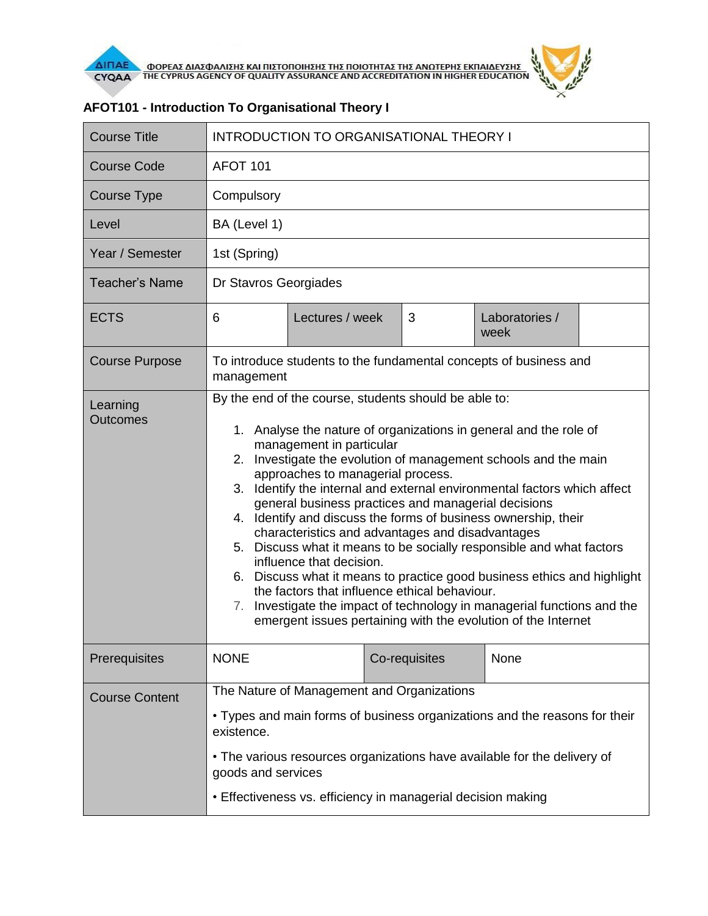

| <b>Course Title</b>         | <b>INTRODUCTION TO ORGANISATIONAL THEORY I</b>                                                                                                                                                                                                                                                                                                                                                                                                                                                                                                                                                                                                                                                                                                                                                                                                                                                            |                 |               |                        |  |  |
|-----------------------------|-----------------------------------------------------------------------------------------------------------------------------------------------------------------------------------------------------------------------------------------------------------------------------------------------------------------------------------------------------------------------------------------------------------------------------------------------------------------------------------------------------------------------------------------------------------------------------------------------------------------------------------------------------------------------------------------------------------------------------------------------------------------------------------------------------------------------------------------------------------------------------------------------------------|-----------------|---------------|------------------------|--|--|
| <b>Course Code</b>          | <b>AFOT 101</b>                                                                                                                                                                                                                                                                                                                                                                                                                                                                                                                                                                                                                                                                                                                                                                                                                                                                                           |                 |               |                        |  |  |
| <b>Course Type</b>          | Compulsory                                                                                                                                                                                                                                                                                                                                                                                                                                                                                                                                                                                                                                                                                                                                                                                                                                                                                                |                 |               |                        |  |  |
| Level                       | BA (Level 1)                                                                                                                                                                                                                                                                                                                                                                                                                                                                                                                                                                                                                                                                                                                                                                                                                                                                                              |                 |               |                        |  |  |
| Year / Semester             | 1st (Spring)                                                                                                                                                                                                                                                                                                                                                                                                                                                                                                                                                                                                                                                                                                                                                                                                                                                                                              |                 |               |                        |  |  |
| <b>Teacher's Name</b>       | Dr Stavros Georgiades                                                                                                                                                                                                                                                                                                                                                                                                                                                                                                                                                                                                                                                                                                                                                                                                                                                                                     |                 |               |                        |  |  |
| <b>ECTS</b>                 | 6                                                                                                                                                                                                                                                                                                                                                                                                                                                                                                                                                                                                                                                                                                                                                                                                                                                                                                         | Lectures / week | 3             | Laboratories /<br>week |  |  |
| <b>Course Purpose</b>       | To introduce students to the fundamental concepts of business and<br>management                                                                                                                                                                                                                                                                                                                                                                                                                                                                                                                                                                                                                                                                                                                                                                                                                           |                 |               |                        |  |  |
| Learning<br><b>Outcomes</b> | By the end of the course, students should be able to:<br>1. Analyse the nature of organizations in general and the role of<br>management in particular<br>2. Investigate the evolution of management schools and the main<br>approaches to managerial process.<br>Identify the internal and external environmental factors which affect<br>3.<br>general business practices and managerial decisions<br>4. Identify and discuss the forms of business ownership, their<br>characteristics and advantages and disadvantages<br>5. Discuss what it means to be socially responsible and what factors<br>influence that decision.<br>6. Discuss what it means to practice good business ethics and highlight<br>the factors that influence ethical behaviour.<br>Investigate the impact of technology in managerial functions and the<br>7.<br>emergent issues pertaining with the evolution of the Internet |                 |               |                        |  |  |
| Prerequisites               | <b>NONE</b>                                                                                                                                                                                                                                                                                                                                                                                                                                                                                                                                                                                                                                                                                                                                                                                                                                                                                               |                 | Co-requisites | None                   |  |  |
| <b>Course Content</b>       | The Nature of Management and Organizations<br>• Types and main forms of business organizations and the reasons for their<br>existence.<br>• The various resources organizations have available for the delivery of<br>goods and services<br>• Effectiveness vs. efficiency in managerial decision making                                                                                                                                                                                                                                                                                                                                                                                                                                                                                                                                                                                                  |                 |               |                        |  |  |

## **AFOT101 - Introduction To Organisational Theory I**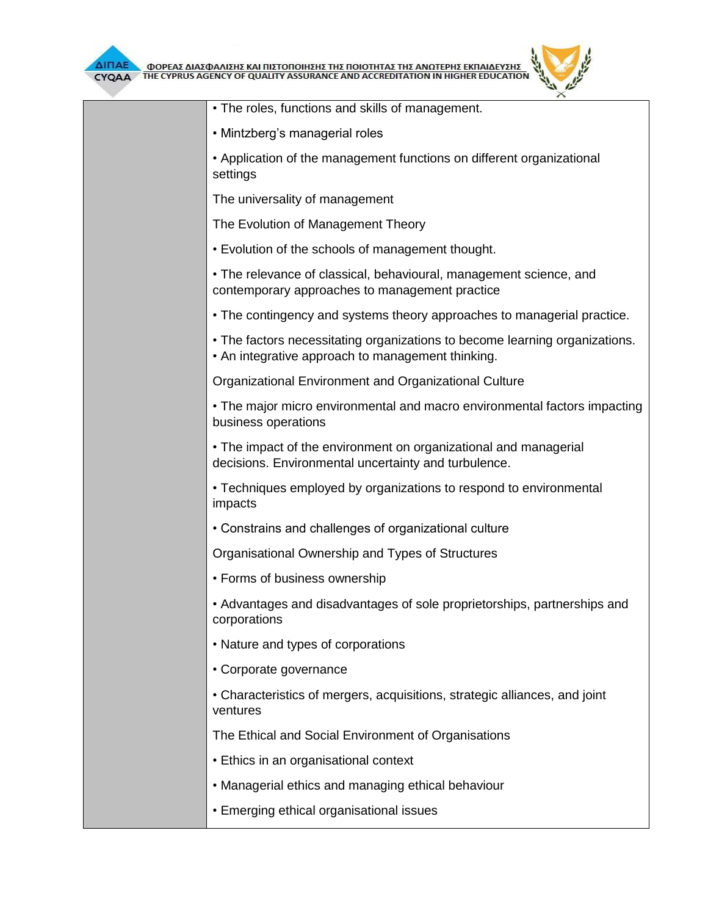



| ᄉ                                                                                                                                |
|----------------------------------------------------------------------------------------------------------------------------------|
| • The roles, functions and skills of management.                                                                                 |
| • Mintzberg's managerial roles                                                                                                   |
| • Application of the management functions on different organizational<br>settings                                                |
| The universality of management                                                                                                   |
| The Evolution of Management Theory                                                                                               |
| . Evolution of the schools of management thought.                                                                                |
| • The relevance of classical, behavioural, management science, and<br>contemporary approaches to management practice             |
| • The contingency and systems theory approaches to managerial practice.                                                          |
| • The factors necessitating organizations to become learning organizations.<br>• An integrative approach to management thinking. |
| Organizational Environment and Organizational Culture                                                                            |
| • The major micro environmental and macro environmental factors impacting<br>business operations                                 |
| • The impact of the environment on organizational and managerial<br>decisions. Environmental uncertainty and turbulence.         |
| • Techniques employed by organizations to respond to environmental<br>impacts                                                    |
| • Constrains and challenges of organizational culture                                                                            |
| Organisational Ownership and Types of Structures                                                                                 |
| • Forms of business ownership                                                                                                    |
| • Advantages and disadvantages of sole proprietorships, partnerships and<br>corporations                                         |
| • Nature and types of corporations                                                                                               |
| • Corporate governance                                                                                                           |
| • Characteristics of mergers, acquisitions, strategic alliances, and joint<br>ventures                                           |
| The Ethical and Social Environment of Organisations                                                                              |
| • Ethics in an organisational context                                                                                            |
| • Managerial ethics and managing ethical behaviour                                                                               |
| • Emerging ethical organisational issues                                                                                         |